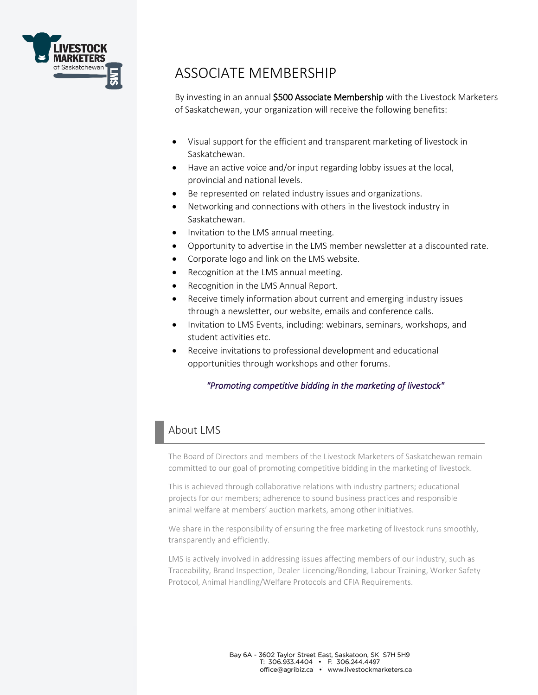

# ASSOCIATE MEMBERSHIP

By investing in an annual \$500 Associate Membership with the Livestock Marketers of Saskatchewan, your organization will receive the following benefits:

- Visual support for the efficient and transparent marketing of livestock in Saskatchewan.
- Have an active voice and/or input regarding lobby issues at the local, provincial and national levels.
- Be represented on related industry issues and organizations.
- Networking and connections with others in the livestock industry in Saskatchewan.
- Invitation to the LMS annual meeting.
- Opportunity to advertise in the LMS member newsletter at a discounted rate.
- Corporate logo and link on the LMS website.
- Recognition at the LMS annual meeting.
- Recognition in the LMS Annual Report.
- Receive timely information about current and emerging industry issues through a newsletter, our website, emails and conference calls.
- Invitation to LMS Events, including: webinars, seminars, workshops, and student activities etc.
- Receive invitations to professional development and educational opportunities through workshops and other forums.

#### *"Promoting competitive bidding in the marketing of livestock"*

### About LMS

The Board of Directors and members of the Livestock Marketers of Saskatchewan remain committed to our goal of promoting competitive bidding in the marketing of livestock.

This is achieved through collaborative relations with industry partners; educational projects for our members; adherence to sound business practices and responsible animal welfare at members' auction markets, among other initiatives.

We share in the responsibility of ensuring the free marketing of livestock runs smoothly, transparently and efficiently.

LMS is actively involved in addressing issues affecting members of our industry, such as Traceability, Brand Inspection, Dealer Licencing/Bonding, Labour Training, Worker Safety Protocol, Animal Handling/Welfare Protocols and CFIA Requirements.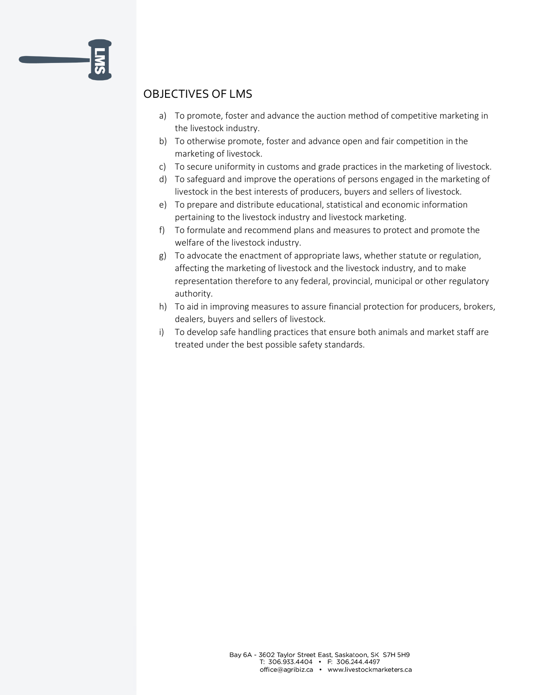### OBJECTIVES OF LMS

- a) To promote, foster and advance the auction method of competitive marketing in the livestock industry.
- b) To otherwise promote, foster and advance open and fair competition in the marketing of livestock.
- c) To secure uniformity in customs and grade practices in the marketing of livestock.
- d) To safeguard and improve the operations of persons engaged in the marketing of livestock in the best interests of producers, buyers and sellers of livestock.
- e) To prepare and distribute educational, statistical and economic information pertaining to the livestock industry and livestock marketing.
- f) To formulate and recommend plans and measures to protect and promote the welfare of the livestock industry.
- g) To advocate the enactment of appropriate laws, whether statute or regulation, affecting the marketing of livestock and the livestock industry, and to make representation therefore to any federal, provincial, municipal or other regulatory authority.
- h) To aid in improving measures to assure financial protection for producers, brokers, dealers, buyers and sellers of livestock.
- i) To develop safe handling practices that ensure both animals and market staff are treated under the best possible safety standards.